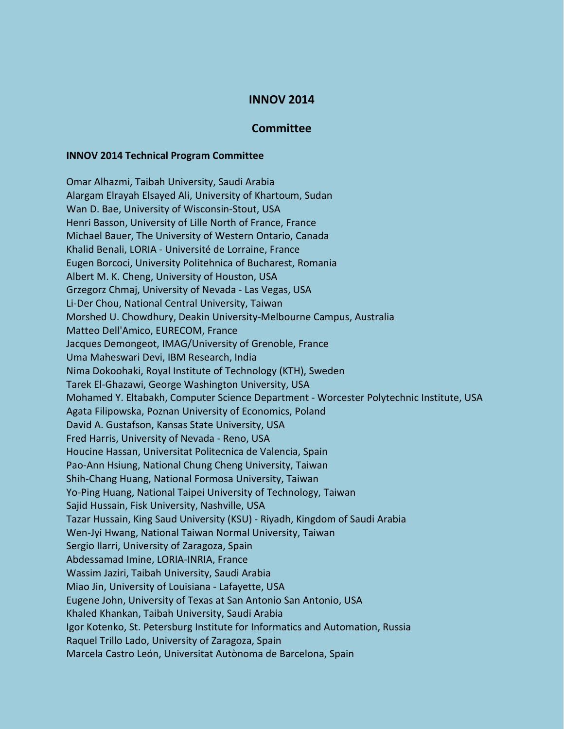## **INNOV 2014**

## **Committee**

## **INNOV 2014 Technical Program Committee**

Omar Alhazmi, Taibah University, Saudi Arabia Alargam Elrayah Elsayed Ali, University of Khartoum, Sudan Wan D. Bae, University of Wisconsin-Stout, USA Henri Basson, University of Lille North of France, France Michael Bauer, The University of Western Ontario, Canada Khalid Benali, LORIA - Université de Lorraine, France Eugen Borcoci, University Politehnica of Bucharest, Romania Albert M. K. Cheng, University of Houston, USA Grzegorz Chmaj, University of Nevada - Las Vegas, USA Li-Der Chou, National Central University, Taiwan Morshed U. Chowdhury, Deakin University-Melbourne Campus, Australia Matteo Dell'Amico, EURECOM, France Jacques Demongeot, IMAG/University of Grenoble, France Uma Maheswari Devi, IBM Research, India Nima Dokoohaki, Royal Institute of Technology (KTH), Sweden Tarek El-Ghazawi, George Washington University, USA Mohamed Y. Eltabakh, Computer Science Department - Worcester Polytechnic Institute, USA Agata Filipowska, Poznan University of Economics, Poland David A. Gustafson, Kansas State University, USA Fred Harris, University of Nevada - Reno, USA Houcine Hassan, Universitat Politecnica de Valencia, Spain Pao-Ann Hsiung, National Chung Cheng University, Taiwan Shih-Chang Huang, National Formosa University, Taiwan Yo-Ping Huang, National Taipei University of Technology, Taiwan Sajid Hussain, Fisk University, Nashville, USA Tazar Hussain, King Saud University (KSU) - Riyadh, Kingdom of Saudi Arabia Wen-Jyi Hwang, National Taiwan Normal University, Taiwan Sergio Ilarri, University of Zaragoza, Spain Abdessamad Imine, LORIA-INRIA, France Wassim Jaziri, Taibah University, Saudi Arabia Miao Jin, University of Louisiana - Lafayette, USA Eugene John, University of Texas at San Antonio San Antonio, USA Khaled Khankan, Taibah University, Saudi Arabia Igor Kotenko, St. Petersburg Institute for Informatics and Automation, Russia Raquel Trillo Lado, University of Zaragoza, Spain Marcela Castro León, Universitat Autònoma de Barcelona, Spain